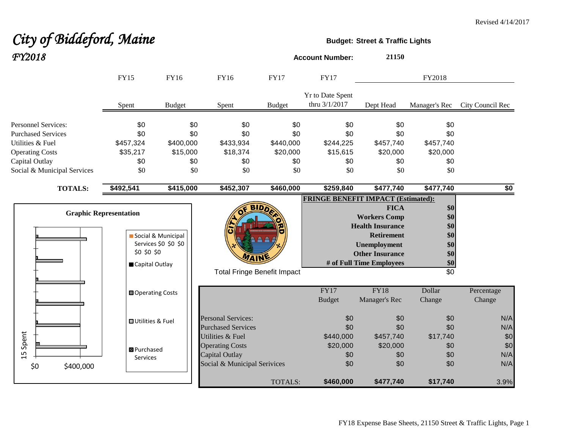## City of Biddeford, Maine **Budget:** Street & Traffic Lights *FY2018* **Account Number: <sup>21150</sup>**

|                                                                                                                         | <b>FY15</b>                                                    | <b>FY16</b>                                | FY16                                                                                         | <b>FY17</b>                                | <b>FY17</b>                                |                                                                                                                                                                 | FY2018                                                           |                          |
|-------------------------------------------------------------------------------------------------------------------------|----------------------------------------------------------------|--------------------------------------------|----------------------------------------------------------------------------------------------|--------------------------------------------|--------------------------------------------|-----------------------------------------------------------------------------------------------------------------------------------------------------------------|------------------------------------------------------------------|--------------------------|
|                                                                                                                         | Spent                                                          | <b>Budget</b>                              | Spent                                                                                        | <b>Budget</b>                              | Yr to Date Spent<br>thru 3/1/2017          | Dept Head                                                                                                                                                       | Manager's Rec                                                    | City Council Rec         |
| <b>Personnel Services:</b><br><b>Purchased Services</b><br>Utilities & Fuel<br><b>Operating Costs</b><br>Capital Outlay | \$0<br>\$0<br>\$457,324<br>\$35,217<br>\$0                     | \$0<br>\$0<br>\$400,000<br>\$15,000<br>\$0 | \$0<br>\$0<br>\$433,934<br>\$18,374<br>\$0                                                   | \$0<br>\$0<br>\$440,000<br>\$20,000<br>\$0 | \$0<br>\$0<br>\$244,225<br>\$15,615<br>\$0 | \$0<br>\$0<br>\$457,740<br>\$20,000<br>\$0                                                                                                                      | \$0<br>\$0<br>\$457,740<br>\$20,000<br>\$0                       |                          |
| Social & Municipal Services                                                                                             | \$0                                                            | \$0                                        | \$0                                                                                          | \$0                                        | \$0                                        | \$0                                                                                                                                                             | \$0                                                              |                          |
| <b>TOTALS:</b>                                                                                                          | \$492,541                                                      | \$415,000                                  | \$452,307                                                                                    | \$460,000                                  | \$259,840                                  | \$477,740                                                                                                                                                       | \$477,740                                                        | \$0                      |
|                                                                                                                         | <b>Graphic Representation</b><br>\$0 \$0 \$0<br>Capital Outlay | Social & Municipal<br>Services \$0 \$0 \$0 | <b>Total Fringe Benefit Impact</b>                                                           | <b>BIDA</b>                                | <b>FRINGE BENEFIT IMPACT (Estimated):</b>  | <b>FICA</b><br><b>Workers Comp</b><br><b>Health Insurance</b><br><b>Retirement</b><br><b>Unemployment</b><br><b>Other Insurance</b><br># of Full Time Employees | \$0<br>\$0<br>\$0<br>\$0<br>\$0<br>\$0<br>\$0<br>$\overline{50}$ |                          |
|                                                                                                                         | <b>□</b> Operating Costs                                       |                                            |                                                                                              |                                            | $\overline{FY17}$<br><b>Budget</b>         | FY18<br>Manager's Rec                                                                                                                                           | Dollar<br>Change                                                 | Percentage<br>Change     |
|                                                                                                                         | <b>OUtilities &amp; Fuel</b>                                   |                                            | <b>Personal Services:</b><br><b>Purchased Services</b>                                       |                                            | \$0<br>\$0                                 | \$0<br>\$0                                                                                                                                                      | \$0<br>\$0                                                       | N/A<br>N/A               |
| Spent<br>15<br>\$0<br>\$400,000                                                                                         | <b>B</b> Purchased<br>Services                                 |                                            | Utilities & Fuel<br><b>Operating Costs</b><br>Capital Outlay<br>Social & Municipal Serivices |                                            | \$440,000<br>\$20,000<br>\$0<br>\$0        | \$457,740<br>\$20,000<br>\$0<br>\$0                                                                                                                             | \$17,740<br>\$0<br>\$0<br>\$0                                    | \$0<br>\$0<br>N/A<br>N/A |
|                                                                                                                         |                                                                |                                            |                                                                                              | TOTALS:                                    | \$460,000                                  | \$477,740                                                                                                                                                       | \$17,740                                                         | 3.9%                     |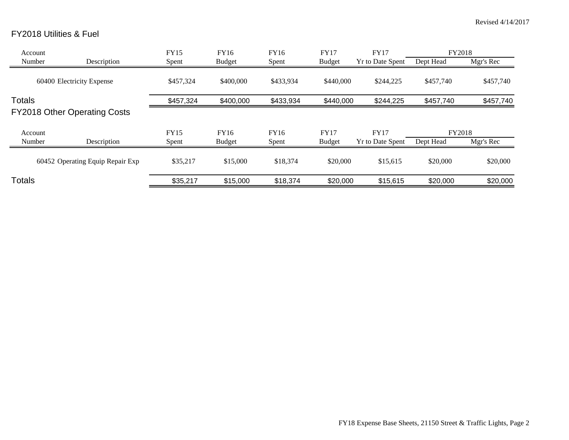## FY2018 Utilities & Fuel

| Account       |                                     | <b>FY15</b> | FY16          | <b>FY16</b> | <b>FY17</b>   | <b>FY17</b>             | <b>FY2018</b> |           |
|---------------|-------------------------------------|-------------|---------------|-------------|---------------|-------------------------|---------------|-----------|
| Number        | Description                         | Spent       | <b>Budget</b> | Spent       | <b>Budget</b> | <b>Yr to Date Spent</b> | Dept Head     | Mgr's Rec |
|               | 60400 Electricity Expense           | \$457,324   | \$400,000     | \$433,934   | \$440,000     | \$244,225               | \$457,740     | \$457,740 |
| Totals        |                                     | \$457,324   | \$400,000     | \$433,934   | \$440,000     | \$244,225               | \$457,740     | \$457,740 |
|               | <b>FY2018 Other Operating Costs</b> |             |               |             |               |                         |               |           |
| Account       |                                     | <b>FY15</b> | FY16          | <b>FY16</b> | <b>FY17</b>   | <b>FY17</b>             | FY2018        |           |
| Number        | Description                         | Spent       | <b>Budget</b> | Spent       | <b>Budget</b> | <b>Yr to Date Spent</b> | Dept Head     | Mgr's Rec |
|               | 60452 Operating Equip Repair Exp    | \$35,217    | \$15,000      | \$18,374    | \$20,000      | \$15,615                | \$20,000      | \$20,000  |
| <b>Totals</b> |                                     | \$35,217    | \$15,000      | \$18,374    | \$20,000      | \$15,615                | \$20,000      | \$20,000  |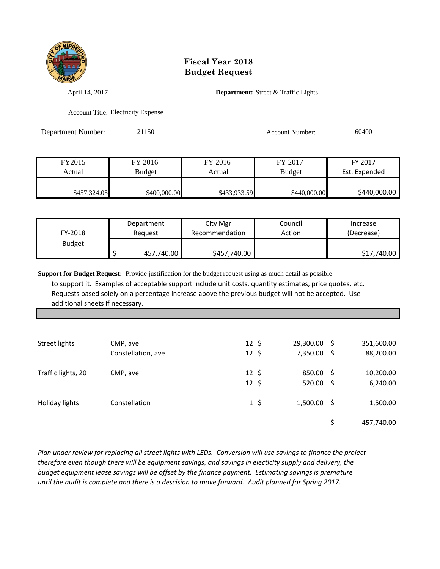

## **Fiscal Year 2018 Budget Request**

April 14, 2017 **Department:** Street & Traffic Lights

Account Title: Electricity Expense

Department Number: 21150 21150 Account Number: 60400

| FY2015       | FY 2016       | FY 2016      | FY 2017       | FY 2017       |
|--------------|---------------|--------------|---------------|---------------|
| Actual       | <b>Budget</b> | Actual       | <b>Budget</b> | Est. Expended |
|              |               |              |               |               |
| \$457,324.05 | \$400,000.00  | \$433,933.59 | \$440,000.00  | \$440,000.00  |

| FY-2018       | Department | City Mgr       | Council | Increase    |
|---------------|------------|----------------|---------|-------------|
|               | Reauest    | Recommendation | Action  | (Decrease)  |
| <b>Budget</b> | 457,740.00 | \$457,740.00   |         | \$17,740.00 |

**Support for Budget Request:** Provide justification for the budget request using as much detail as possible to support it. Examples of acceptable support include unit costs, quantity estimates, price quotes, etc. Requests based solely on a percentage increase above the previous budget will not be accepted. Use additional sheets if necessary.

| Street lights      | CMP, ave<br>Constellation, ave | $12 \; \text{S}$<br>$12 \; \text{S}$ |          | 29,300.00<br>7,350.00    | -S | 351,600.00<br>88,200.00 |
|--------------------|--------------------------------|--------------------------------------|----------|--------------------------|----|-------------------------|
| Traffic lights, 20 | CMP, ave                       | $12 \; \text{S}$<br>$12 \;$ \$       |          | 850.00 \$<br>$520.00$ \$ |    | 10,200.00<br>6,240.00   |
| Holiday lights     | Constellation                  |                                      | $1\,$ \$ | $1,500.00$ \$            |    | 1,500.00                |
|                    |                                |                                      |          |                          |    | 457,740.00              |

*Plan under review for replacing all street lights with LEDs. Conversion will use savings to finance the project therefore even though there will be equipment savings, and savings in electicity supply and delivery, the budget equipment lease savings will be offset by the finance payment. Estimating savings is premature until the audit is complete and there is a descision to move forward. Audit planned for Spring 2017.*